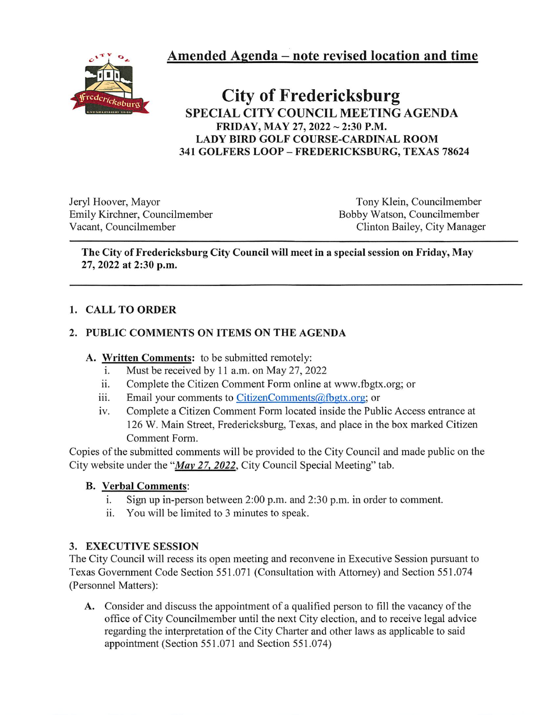Amended Agenda ~ note revised location and time



# City of Fredericksburg SPECIAL CITY COUNCIL MEETING AGENDA FRIDAY, MAY 27, 2022 ~ 2:30 P.M. LADY BIRD GOLF COURSE-CARDINAL ROOM 341 GOLFERS LOOP - FREDERICKSBURG, TEXAS 78624

Jeryl Hoover, Mayor Tony Klein, Councilmember<br>
Emily Kirchner, Councilmember<br>
Bobby Watson, Councilmember Emily Kirchner, Councilmember Vacant, Councilmember Clinton Bailey, City Manager

#### The City of Fredericksburg City Council will meet in a special session on Friday, May 27, 2022 at 2:30 p.m.

# 1. CALL TO ORDER

# 2. PUBLIC COMMENTS ON ITEMS ON THE AGENDA

# A. Written Comments: to be submitted remotely:

- i. Must be received by 11 a.m. on May 27, 2022
- ii. Complete the Citizen Comment Form online at www.fbgtx.org; or
- iii. Email your comments to CitizenComments@fbgtx.org; or
- iv. Complete a Citizen Comment Form located inside the Public Access entrance at 126 W. Main Street, Fredericksburg, Texas, and place in the box marked Citizen Comment Form.

Copies of the submitted comments will be provided to the City Council and made public on the City website under the "May 27. 2022, City Council Special Meeting" tab.

#### B. Verbal Comments:

- i. Sign up in-person between 2:00 p.m. and 2:30 p.m. in order to comment.
- ii. You will be limited to 3 minutes to speak.

# 3. EXECUTIVE SESSION

The City Council will recess its open meeting and reconvene in Executive Session pursuant to Texas Government Code Section 551.071 (Consultation with Attorney) and Section 551.074 (Personnel Matters):

A. Consider and discuss the appointment of a qualified person to fill the vacancy of the office of City Councilmember until the next City election, and to receive legal advice regarding the interpretation of the City Charter and other laws as applicable to said appointment (Section 551.071 and Section 551.074)